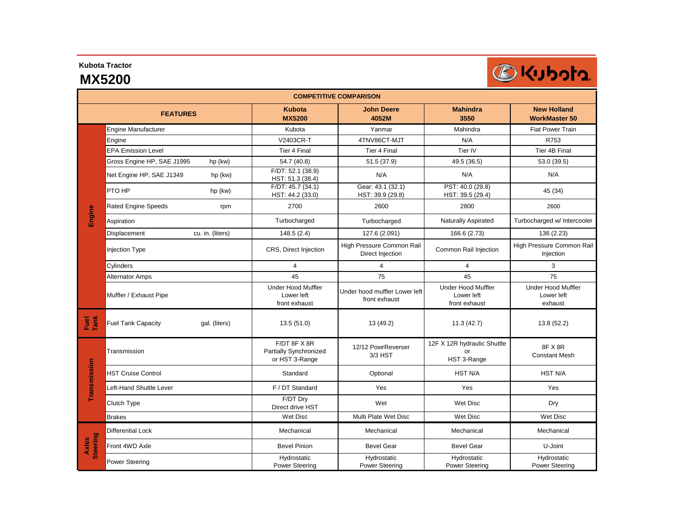**Kubota Tractor**

## **MX5200**



| <b>COMPETITIVE COMPARISON</b> |                                            |                                                          |                                                |                                                          |                                                    |  |  |
|-------------------------------|--------------------------------------------|----------------------------------------------------------|------------------------------------------------|----------------------------------------------------------|----------------------------------------------------|--|--|
| <b>FEATURES</b>               |                                            | <b>Kubota</b><br><b>MX5200</b>                           | <b>John Deere</b><br>4052M                     | <b>Mahindra</b><br>3550                                  | <b>New Holland</b><br><b>WorkMaster 50</b>         |  |  |
| Engine                        | <b>Engine Manufacturer</b>                 | Kubota                                                   | Yanmar                                         | Mahindra                                                 | <b>Fiat Power Train</b>                            |  |  |
|                               | Engine                                     | V2403CR-T                                                | 4TNV86CT-MJT                                   | N/A                                                      | R753                                               |  |  |
|                               | <b>EPA Emission Level</b>                  | Tier 4 Final                                             | Tier 4 Final                                   | Tier IV                                                  | Tier 4B Final                                      |  |  |
|                               | Gross Engine HP, SAE J1995<br>hp (kw)      | 54.7 (40.8)                                              | 51.5 (37.9)                                    | 49.5 (36.5)                                              | 53.0 (39.5)                                        |  |  |
|                               | Net Engine HP, SAE J1349<br>hp (kw)        | F/DT: 52.1 (38.9)<br>HST: 51.3 (38.4)                    | N/A                                            | N/A                                                      | N/A                                                |  |  |
|                               | PTO HP<br>hp (kw)                          | F/DT: 45.7(34.1)<br>HST: 44.2 (33.0)                     | Gear: 43.1 (32.1)<br>HST: 39.9 (29.8)          | PST: 40.0 (29.8)<br>HST: 39.5 (29.4)                     | 45 (34)                                            |  |  |
|                               | <b>Rated Engine Speeds</b><br>rpm          | 2700                                                     | 2600                                           | 2800                                                     | 2600                                               |  |  |
|                               | Aspiration                                 | Turbocharged                                             | Turbocharged                                   | Naturally Aspirated                                      | Turbocharged w/ Intercooler                        |  |  |
|                               | Displacement<br>cu. in. (liters)           | 148.5(2.4)                                               | 127.6 (2.091)                                  | 166.6 (2.73)                                             | 136 (2.23)                                         |  |  |
|                               | Injection Type                             | CRS, Direct Injection                                    | High Pressure Common Rail<br>Direct Injection  | Common Rail Injection                                    | High Pressure Common Rail<br>Injection             |  |  |
|                               | Cylinders                                  | $\overline{4}$                                           | $\overline{4}$                                 | $\overline{4}$                                           | 3                                                  |  |  |
|                               | Alternator Amps                            | 45                                                       | 75                                             | 45                                                       | 75                                                 |  |  |
|                               | Muffler / Exhaust Pipe                     | <b>Under Hood Muffler</b><br>Lower left<br>front exhaust | Under hood muffler Lower left<br>front exhaust | <b>Under Hood Muffler</b><br>Lower left<br>front exhaust | <b>Under Hood Muffler</b><br>Lower left<br>exhaust |  |  |
| Fuel<br>Tank                  | <b>Fuel Tank Capacity</b><br>gal. (liters) | 13.5(51.0)                                               | 13 (49.2)                                      | 11.3(42.7)                                               | 13.8 (52.2)                                        |  |  |
| Transmission                  | Transmission                               | F/DT 8F X 8R<br>Partially Synchronized<br>or HST 3-Range | 12/12 PowrReverser<br>3/3 HST                  | 12F X 12R hydraulic Shuttle<br>or<br>HST 3-Range         | 8F X 8R<br><b>Constant Mesh</b>                    |  |  |
|                               | <b>HST Cruise Control</b>                  | Standard                                                 | Optional                                       | <b>HST N/A</b>                                           | <b>HST N/A</b>                                     |  |  |
|                               | Left-Hand Shuttle Lever                    | F / DT Standard                                          | Yes                                            | Yes                                                      | Yes                                                |  |  |
|                               | Clutch Type                                | F/DT Dry<br>Direct drive HST                             | Wet                                            | Wet Disc                                                 | Dry                                                |  |  |
|                               | <b>Brakes</b>                              | <b>Wet Disc</b>                                          | Multi Plate Wet Disc                           | <b>Wet Disc</b>                                          | <b>Wet Disc</b>                                    |  |  |
| <b>Steering</b><br>Axles      | Differential Lock                          | Mechanical                                               | Mechanical                                     | Mechanical                                               | Mechanical                                         |  |  |
|                               | Front 4WD Axle                             | <b>Bevel Pinion</b>                                      | <b>Bevel Gear</b>                              | <b>Bevel Gear</b>                                        | U-Joint                                            |  |  |
|                               | <b>Power Steering</b>                      | Hydrostatic<br><b>Power Steering</b>                     | Hydrostatic<br><b>Power Steering</b>           | Hydrostatic<br><b>Power Steering</b>                     | Hydrostatic<br><b>Power Steering</b>               |  |  |